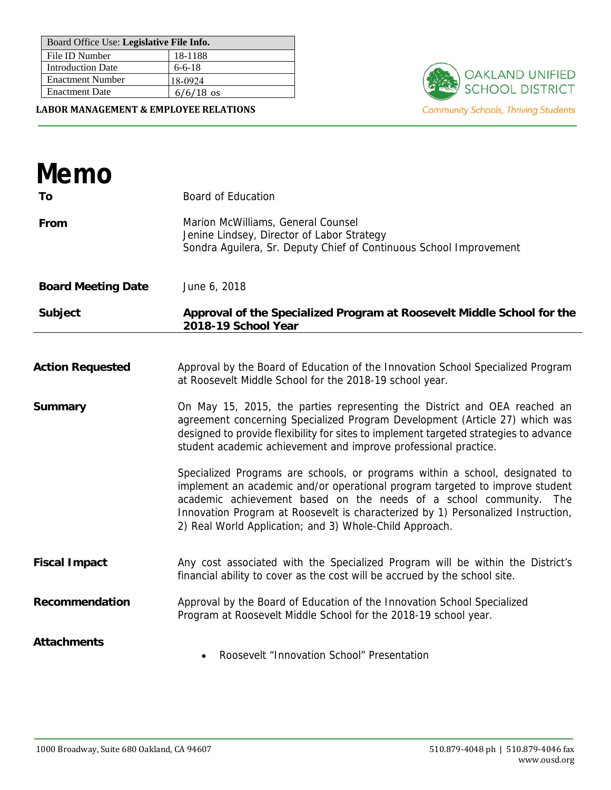| Board Office Use: Legislative File Info. |              |
|------------------------------------------|--------------|
| File ID Number                           | 18-1188      |
| <b>Introduction Date</b>                 | $6 - 6 - 18$ |
| <b>Enactment Number</b>                  | 18-0924      |
| <b>Enactment Date</b>                    | $6/6/18$ os  |

**LABOR MANAGEMENT & EMPLOYEE RELATIONS**



| Memo                      |                                                                                                                                                                                                                                                                                                                                                                                   |
|---------------------------|-----------------------------------------------------------------------------------------------------------------------------------------------------------------------------------------------------------------------------------------------------------------------------------------------------------------------------------------------------------------------------------|
| Τo                        | <b>Board of Education</b>                                                                                                                                                                                                                                                                                                                                                         |
| From                      | Marion McWilliams, General Counsel<br>Jenine Lindsey, Director of Labor Strategy<br>Sondra Aguilera, Sr. Deputy Chief of Continuous School Improvement                                                                                                                                                                                                                            |
| <b>Board Meeting Date</b> | June 6, 2018                                                                                                                                                                                                                                                                                                                                                                      |
| <b>Subject</b>            | Approval of the Specialized Program at Roosevelt Middle School for the<br>2018-19 School Year                                                                                                                                                                                                                                                                                     |
|                           |                                                                                                                                                                                                                                                                                                                                                                                   |
| <b>Action Requested</b>   | Approval by the Board of Education of the Innovation School Specialized Program<br>at Roosevelt Middle School for the 2018-19 school year.                                                                                                                                                                                                                                        |
| <b>Summary</b>            | On May 15, 2015, the parties representing the District and OEA reached an<br>agreement concerning Specialized Program Development (Article 27) which was<br>designed to provide flexibility for sites to implement targeted strategies to advance<br>student academic achievement and improve professional practice.                                                              |
|                           | Specialized Programs are schools, or programs within a school, designated to<br>implement an academic and/or operational program targeted to improve student<br>academic achievement based on the needs of a school community. The<br>Innovation Program at Roosevelt is characterized by 1) Personalized Instruction,<br>2) Real World Application; and 3) Whole-Child Approach. |
| <b>Fiscal Impact</b>      | Any cost associated with the Specialized Program will be within the District's<br>financial ability to cover as the cost will be accrued by the school site.                                                                                                                                                                                                                      |
| Recommendation            | Approval by the Board of Education of the Innovation School Specialized<br>Program at Roosevelt Middle School for the 2018-19 school year.                                                                                                                                                                                                                                        |
| <b>Attachments</b>        | Roosevelt "Innovation School" Presentation                                                                                                                                                                                                                                                                                                                                        |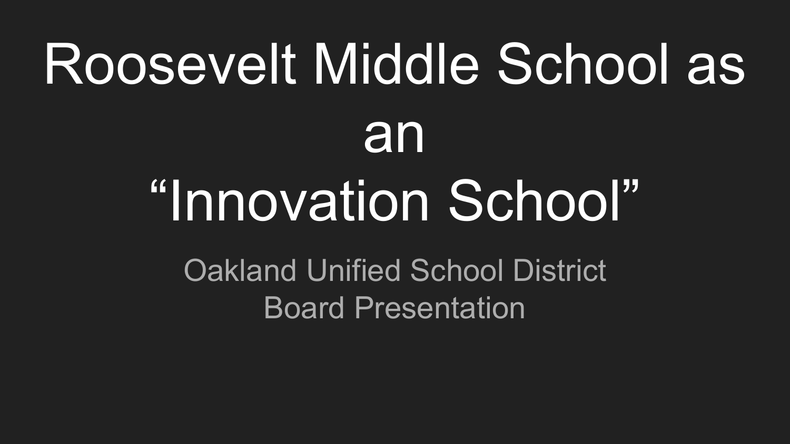## Roosevelt Middle School as an "Innovation School" Oakland Unified School District

Board Presentation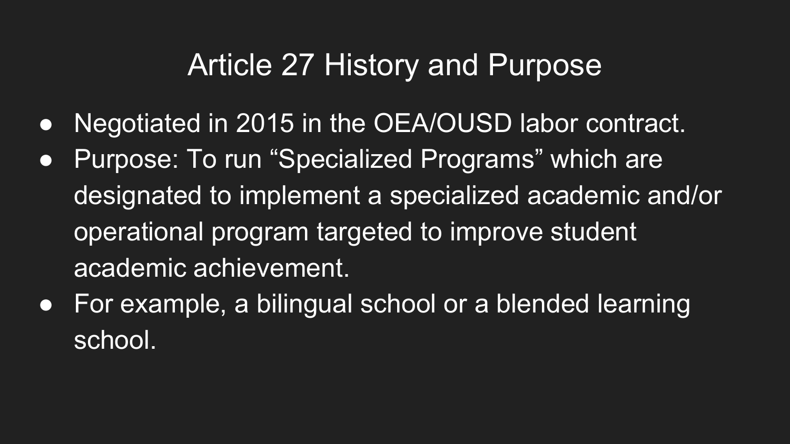## Article 27 History and Purpose

- Negotiated in 2015 in the OEA/OUSD labor contract.
- Purpose: To run "Specialized Programs" which are designated to implement a specialized academic and/or operational program targeted to improve student academic achievement.
- For example, a bilingual school or a blended learning school.